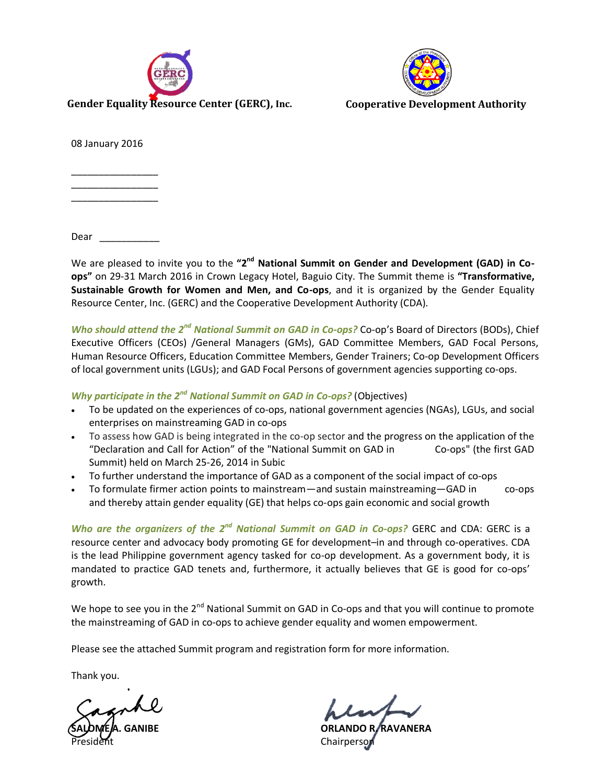



08 January 2016

\_\_\_\_\_\_\_\_\_\_\_\_\_\_\_\_ \_\_\_\_\_\_\_\_\_\_\_\_\_\_\_\_ \_\_\_\_\_\_\_\_\_\_\_\_\_\_\_\_

Dear \_\_\_\_\_\_\_\_\_\_\_

We are pleased to invite you to the "2<sup>nd</sup> National Summit on Gender and Development (GAD) in Co**ops"** on 29-31 March 2016 in Crown Legacy Hotel, Baguio City. The Summit theme is **"Transformative, Sustainable Growth for Women and Men, and Co-ops**, and it is organized by the Gender Equality Resource Center, Inc. (GERC) and the Cooperative Development Authority (CDA).

*Who should attend the 2nd National Summit on GAD in Co-ops?* Co-op's Board of Directors (BODs), Chief Executive Officers (CEOs) /General Managers (GMs), GAD Committee Members, GAD Focal Persons, Human Resource Officers, Education Committee Members, Gender Trainers; Co-op Development Officers of local government units (LGUs); and GAD Focal Persons of government agencies supporting co-ops.

### *Why participate in the 2nd National Summit on GAD in Co-ops?* (Objectives)

- To be updated on the experiences of co-ops, national government agencies (NGAs), LGUs, and social enterprises on mainstreaming GAD in co-ops
- To assess how GAD is being integrated in the co-op sector and the progress on the application of the "Declaration and Call for Action" of the "National Summit on GAD in Co-ops" (the first GAD Summit) held on March 25-26, 2014 in Subic
- To further understand the importance of GAD as a component of the social impact of co-ops
- To formulate firmer action points to mainstream—and sustain mainstreaming—GAD in co-ops and thereby attain gender equality (GE) that helps co-ops gain economic and social growth

*Who are the organizers of the 2nd National Summit on GAD in Co-ops?* GERC and CDA: GERC is a resource center and advocacy body promoting GE for development–in and through co-operatives. CDA is the lead Philippine government agency tasked for co-op development. As a government body, it is mandated to practice GAD tenets and, furthermore, it actually believes that GE is good for co-ops' growth.

We hope to see you in the 2<sup>nd</sup> National Summit on GAD in Co-ops and that you will continue to promote the mainstreaming of GAD in co-ops to achieve gender equality and women empowerment.

Please see the attached Summit program and registration form for more information.

Thank you.

**SALOME A. GANIBE ORLANDO R. RAVANERA** Chairperson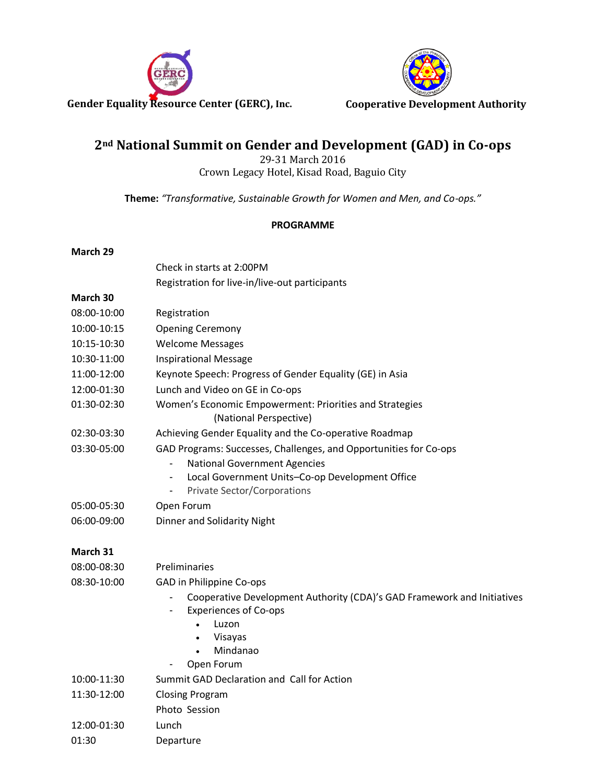



# **2nd National Summit on Gender and Development (GAD) in Co-ops**

29-31 March 2016 Crown Legacy Hotel, Kisad Road, Baguio City

**Theme:** *"Transformative, Sustainable Growth for Women and Men, and Co-ops."*

## **PROGRAMME**

### **March 29**

|             | Check in starts at 2:00PM                                                                                                                |  |  |  |  |
|-------------|------------------------------------------------------------------------------------------------------------------------------------------|--|--|--|--|
|             | Registration for live-in/live-out participants                                                                                           |  |  |  |  |
| March 30    |                                                                                                                                          |  |  |  |  |
| 08:00-10:00 | Registration                                                                                                                             |  |  |  |  |
| 10:00-10:15 | <b>Opening Ceremony</b>                                                                                                                  |  |  |  |  |
| 10:15-10:30 | <b>Welcome Messages</b>                                                                                                                  |  |  |  |  |
| 10:30-11:00 | <b>Inspirational Message</b>                                                                                                             |  |  |  |  |
| 11:00-12:00 | Keynote Speech: Progress of Gender Equality (GE) in Asia                                                                                 |  |  |  |  |
| 12:00-01:30 | Lunch and Video on GE in Co-ops                                                                                                          |  |  |  |  |
| 01:30-02:30 | Women's Economic Empowerment: Priorities and Strategies<br>(National Perspective)                                                        |  |  |  |  |
| 02:30-03:30 | Achieving Gender Equality and the Co-operative Roadmap                                                                                   |  |  |  |  |
| 03:30-05:00 | GAD Programs: Successes, Challenges, and Opportunities for Co-ops                                                                        |  |  |  |  |
|             | <b>National Government Agencies</b>                                                                                                      |  |  |  |  |
|             | Local Government Units-Co-op Development Office<br>-                                                                                     |  |  |  |  |
|             | <b>Private Sector/Corporations</b><br>$\blacksquare$                                                                                     |  |  |  |  |
| 05:00-05:30 | Open Forum                                                                                                                               |  |  |  |  |
| 06:00-09:00 | Dinner and Solidarity Night                                                                                                              |  |  |  |  |
| March 31    |                                                                                                                                          |  |  |  |  |
| 08:00-08:30 | Preliminaries                                                                                                                            |  |  |  |  |
| 08:30-10:00 | GAD in Philippine Co-ops                                                                                                                 |  |  |  |  |
|             | Cooperative Development Authority (CDA)'s GAD Framework and Initiatives<br><b>Experiences of Co-ops</b><br>Luzon<br>Visayas<br>$\bullet$ |  |  |  |  |
|             | Mindanao                                                                                                                                 |  |  |  |  |
|             | Open Forum                                                                                                                               |  |  |  |  |
| 10:00-11:30 | Summit GAD Declaration and Call for Action                                                                                               |  |  |  |  |
| 11:30-12:00 | <b>Closing Program</b>                                                                                                                   |  |  |  |  |
|             | Photo Session                                                                                                                            |  |  |  |  |
| 12:00-01:30 | Lunch                                                                                                                                    |  |  |  |  |
| 01:30       | Departure                                                                                                                                |  |  |  |  |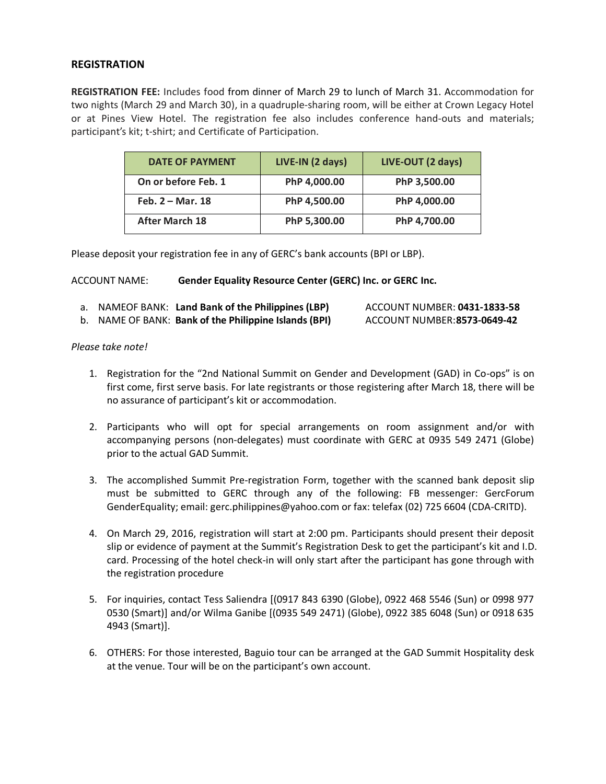## **REGISTRATION**

**REGISTRATION FEE:** Includes food from dinner of March 29 to lunch of March 31. Accommodation for two nights (March 29 and March 30), in a quadruple-sharing room, will be either at Crown Legacy Hotel or at Pines View Hotel. The registration fee also includes conference hand-outs and materials; participant's kit; t-shirt; and Certificate of Participation.

| <b>DATE OF PAYMENT</b> | LIVE-IN (2 days) | LIVE-OUT (2 days) |
|------------------------|------------------|-------------------|
| On or before Feb. 1    | PhP 4,000.00     | PhP 3,500.00      |
| Feb. $2 -$ Mar. 18     | PhP 4,500.00     | PhP 4,000.00      |
| <b>After March 18</b>  | PhP 5,300.00     | PhP 4,700.00      |

Please deposit your registration fee in any of GERC's bank accounts (BPI or LBP).

#### ACCOUNT NAME: **Gender Equality Resource Center (GERC) Inc. or GERC Inc.**

| a. NAMEOF BANK: Land Bank of the Philippines (LBP)    | ACCOUNT NUMBER: 0431-1833-58 |
|-------------------------------------------------------|------------------------------|
| b. NAME OF BANK: Bank of the Philippine Islands (BPI) | ACCOUNT NUMBER:8573-0649-42  |

#### *Please take note!*

- 1. Registration for the "2nd National Summit on Gender and Development (GAD) in Co-ops" is on first come, first serve basis. For late registrants or those registering after March 18, there will be no assurance of participant's kit or accommodation.
- 2. Participants who will opt for special arrangements on room assignment and/or with accompanying persons (non-delegates) must coordinate with GERC at 0935 549 2471 (Globe) prior to the actual GAD Summit.
- 3. The accomplished Summit Pre-registration Form, together with the scanned bank deposit slip must be submitted to GERC through any of the following: FB messenger: GercForum GenderEquality; email: gerc.philippines@yahoo.com or fax: telefax (02) 725 6604 (CDA-CRITD).
- 4. On March 29, 2016, registration will start at 2:00 pm. Participants should present their deposit slip or evidence of payment at the Summit's Registration Desk to get the participant's kit and I.D. card. Processing of the hotel check-in will only start after the participant has gone through with the registration procedure
- 5. For inquiries, contact Tess Saliendra [(0917 843 6390 (Globe), 0922 468 5546 (Sun) or 0998 977 0530 (Smart)] and/or Wilma Ganibe [(0935 549 2471) (Globe), 0922 385 6048 (Sun) or 0918 635 4943 (Smart)].
- 6. OTHERS: For those interested, Baguio tour can be arranged at the GAD Summit Hospitality desk at the venue. Tour will be on the participant's own account.